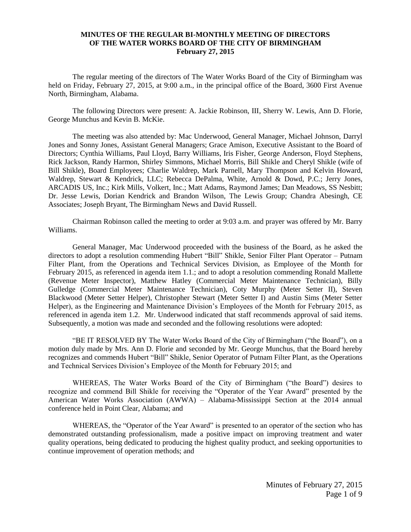## **MINUTES OF THE REGULAR BI-MONTHLY MEETING OF DIRECTORS OF THE WATER WORKS BOARD OF THE CITY OF BIRMINGHAM February 27, 2015**

The regular meeting of the directors of The Water Works Board of the City of Birmingham was held on Friday, February 27, 2015, at 9:00 a.m., in the principal office of the Board, 3600 First Avenue North, Birmingham, Alabama.

The following Directors were present: A. Jackie Robinson, III, Sherry W. Lewis, Ann D. Florie, George Munchus and Kevin B. McKie.

The meeting was also attended by: Mac Underwood, General Manager, Michael Johnson, Darryl Jones and Sonny Jones, Assistant General Managers; Grace Amison, Executive Assistant to the Board of Directors; Cynthia Williams, Paul Lloyd, Barry Williams, Iris Fisher, George Anderson, Floyd Stephens, Rick Jackson, Randy Harmon, Shirley Simmons, Michael Morris, Bill Shikle and Cheryl Shikle (wife of Bill Shikle), Board Employees; Charlie Waldrep, Mark Parnell, Mary Thompson and Kelvin Howard, Waldrep, Stewart & Kendrick, LLC; Rebecca DePalma, White, Arnold & Dowd, P.C.; Jerry Jones, ARCADIS US, Inc.; Kirk Mills, Volkert, Inc.; Matt Adams, Raymond James; Dan Meadows, SS Nesbitt; Dr. Jesse Lewis, Dorian Kendrick and Brandon Wilson, The Lewis Group; Chandra Abesingh, CE Associates; Joseph Bryant, The Birmingham News and David Russell.

Chairman Robinson called the meeting to order at 9:03 a.m. and prayer was offered by Mr. Barry Williams.

General Manager, Mac Underwood proceeded with the business of the Board, as he asked the directors to adopt a resolution commending Hubert "Bill" Shikle, Senior Filter Plant Operator – Putnam Filter Plant, from the Operations and Technical Services Division, as Employee of the Month for February 2015, as referenced in agenda item 1.1.; and to adopt a resolution commending Ronald Mallette (Revenue Meter Inspector), Matthew Hatley (Commercial Meter Maintenance Technician), Billy Gulledge (Commercial Meter Maintenance Technician), Coty Murphy (Meter Setter II), Steven Blackwood (Meter Setter Helper), Christopher Stewart (Meter Setter I) and Austin Sims (Meter Setter Helper), as the Engineering and Maintenance Division's Employees of the Month for February 2015, as referenced in agenda item 1.2. Mr. Underwood indicated that staff recommends approval of said items. Subsequently, a motion was made and seconded and the following resolutions were adopted:

"BE IT RESOLVED BY The Water Works Board of the City of Birmingham ("the Board"), on a motion duly made by Mrs. Ann D. Florie and seconded by Mr. George Munchus, that the Board hereby recognizes and commends Hubert "Bill" Shikle, Senior Operator of Putnam Filter Plant, as the Operations and Technical Services Division's Employee of the Month for February 2015; and

WHEREAS, The Water Works Board of the City of Birmingham ("the Board") desires to recognize and commend Bill Shikle for receiving the "Operator of the Year Award" presented by the American Water Works Association (AWWA) – Alabama-Mississippi Section at the 2014 annual conference held in Point Clear, Alabama; and

WHEREAS, the "Operator of the Year Award" is presented to an operator of the section who has demonstrated outstanding professionalism, made a positive impact on improving treatment and water quality operations, being dedicated to producing the highest quality product, and seeking opportunities to continue improvement of operation methods; and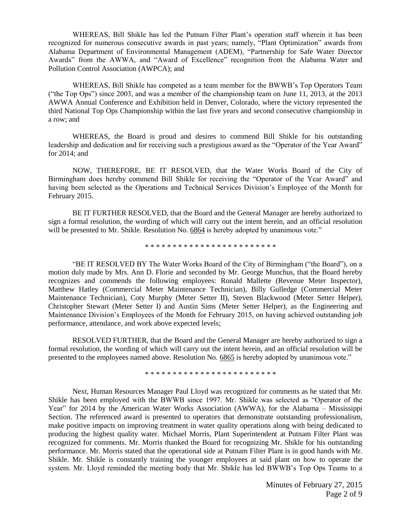WHEREAS, Bill Shikle has led the Putnam Filter Plant's operation staff wherein it has been recognized for numerous consecutive awards in past years; namely, "Plant Optimization" awards from Alabama Department of Environmental Management (ADEM), "Partnership for Safe Water Director Awards" from the AWWA, and "Award of Excellence" recognition from the Alabama Water and Pollution Control Association (AWPCA); and

WHEREAS, Bill Shikle has competed as a team member for the BWWB's Top Operators Team ("the Top Ops") since 2003, and was a member of the championship team on June 11, 2013, at the 2013 AWWA Annual Conference and Exhibition held in Denver, Colorado, where the victory represented the third National Top Ops Championship within the last five years and second consecutive championship in a row; and

WHEREAS, the Board is proud and desires to commend Bill Shikle for his outstanding leadership and dedication and for receiving such a prestigious award as the "Operator of the Year Award" for 2014; and

NOW, THEREFORE, BE IT RESOLVED, that the Water Works Board of the City of Birmingham does hereby commend Bill Shikle for receiving the "Operator of the Year Award" and having been selected as the Operations and Technical Services Division's Employee of the Month for February 2015.

BE IT FURTHER RESOLVED, that the Board and the General Manager are hereby authorized to sign a formal resolution, the wording of which will carry out the intent herein, and an official resolution will be presented to Mr. Shikle. Resolution No. 6864 is hereby adopted by unanimous vote."

\* \* \* \* \* \* \* \* \* \* \* \* \* \* \* \* \* \* \* \* \* \* \* \*

"BE IT RESOLVED BY The Water Works Board of the City of Birmingham ("the Board"), on a motion duly made by Mrs. Ann D. Florie and seconded by Mr. George Munchus, that the Board hereby recognizes and commends the following employees: Ronald Mallette (Revenue Meter Inspector), Matthew Hatley (Commercial Meter Maintenance Technician), Billy Gulledge (Commercial Meter Maintenance Technician), Coty Murphy (Meter Setter II), Steven Blackwood (Meter Setter Helper), Christopher Stewart (Meter Setter I) and Austin Sims (Meter Setter Helper), as the Engineering and Maintenance Division's Employees of the Month for February 2015, on having achieved outstanding job performance, attendance, and work above expected levels;

RESOLVED FURTHER, that the Board and the General Manager are hereby authorized to sign a formal resolution, the wording of which will carry out the intent herein, and an official resolution will be presented to the employees named above. Resolution No. 6865 is hereby adopted by unanimous vote."

\* \* \* \* \* \* \* \* \* \* \* \* \* \* \* \* \* \* \* \* \* \* \* \*

Next, Human Resources Manager Paul Lloyd was recognized for comments as he stated that Mr. Shikle has been employed with the BWWB since 1997. Mr. Shikle was selected as "Operator of the Year" for 2014 by the American Water Works Association (AWWA), for the Alabama – Mississippi Section. The referenced award is presented to operators that demonstrate outstanding professionalism, make positive impacts on improving treatment in water quality operations along with being dedicated to producing the highest quality water. Michael Morris, Plant Superintendent at Putnam Filter Plant was recognized for comments. Mr. Morris thanked the Board for recognizing Mr. Shikle for his outstanding performance. Mr. Morris stated that the operational side at Putnam Filter Plant is in good hands with Mr. Shikle. Mr. Shikle is constantly training the younger employees at said plant on how to operate the system. Mr. Lloyd reminded the meeting body that Mr. Shikle has led BWWB's Top Ops Teams to a

> Minutes of February 27, 2015 Page 2 of 9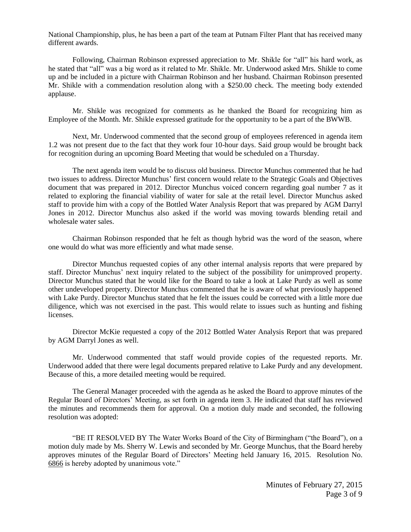National Championship, plus, he has been a part of the team at Putnam Filter Plant that has received many different awards.

Following, Chairman Robinson expressed appreciation to Mr. Shikle for "all" his hard work, as he stated that "all" was a big word as it related to Mr. Shikle. Mr. Underwood asked Mrs. Shikle to come up and be included in a picture with Chairman Robinson and her husband. Chairman Robinson presented Mr. Shikle with a commendation resolution along with a \$250.00 check. The meeting body extended applause.

Mr. Shikle was recognized for comments as he thanked the Board for recognizing him as Employee of the Month. Mr. Shikle expressed gratitude for the opportunity to be a part of the BWWB.

Next, Mr. Underwood commented that the second group of employees referenced in agenda item 1.2 was not present due to the fact that they work four 10-hour days. Said group would be brought back for recognition during an upcoming Board Meeting that would be scheduled on a Thursday.

The next agenda item would be to discuss old business. Director Munchus commented that he had two issues to address. Director Munchus' first concern would relate to the Strategic Goals and Objectives document that was prepared in 2012. Director Munchus voiced concern regarding goal number 7 as it related to exploring the financial viability of water for sale at the retail level. Director Munchus asked staff to provide him with a copy of the Bottled Water Analysis Report that was prepared by AGM Darryl Jones in 2012. Director Munchus also asked if the world was moving towards blending retail and wholesale water sales.

Chairman Robinson responded that he felt as though hybrid was the word of the season, where one would do what was more efficiently and what made sense.

Director Munchus requested copies of any other internal analysis reports that were prepared by staff. Director Munchus' next inquiry related to the subject of the possibility for unimproved property. Director Munchus stated that he would like for the Board to take a look at Lake Purdy as well as some other undeveloped property. Director Munchus commented that he is aware of what previously happened with Lake Purdy. Director Munchus stated that he felt the issues could be corrected with a little more due diligence, which was not exercised in the past. This would relate to issues such as hunting and fishing licenses.

Director McKie requested a copy of the 2012 Bottled Water Analysis Report that was prepared by AGM Darryl Jones as well.

Mr. Underwood commented that staff would provide copies of the requested reports. Mr. Underwood added that there were legal documents prepared relative to Lake Purdy and any development. Because of this, a more detailed meeting would be required.

The General Manager proceeded with the agenda as he asked the Board to approve minutes of the Regular Board of Directors' Meeting, as set forth in agenda item 3. He indicated that staff has reviewed the minutes and recommends them for approval. On a motion duly made and seconded, the following resolution was adopted:

"BE IT RESOLVED BY The Water Works Board of the City of Birmingham ("the Board"), on a motion duly made by Ms. Sherry W. Lewis and seconded by Mr. George Munchus, that the Board hereby approves minutes of the Regular Board of Directors' Meeting held January 16, 2015. Resolution No. 6866 is hereby adopted by unanimous vote."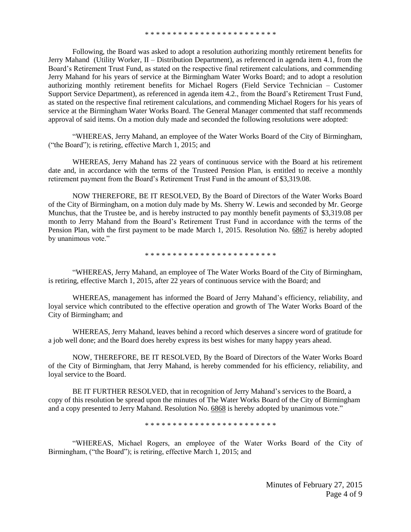Following, the Board was asked to adopt a resolution authorizing monthly retirement benefits for Jerry Mahand (Utility Worker, II – Distribution Department), as referenced in agenda item 4.1, from the Board's Retirement Trust Fund, as stated on the respective final retirement calculations, and commending Jerry Mahand for his years of service at the Birmingham Water Works Board; and to adopt a resolution authorizing monthly retirement benefits for Michael Rogers (Field Service Technician – Customer Support Service Department), as referenced in agenda item 4.2., from the Board's Retirement Trust Fund, as stated on the respective final retirement calculations, and commending Michael Rogers for his years of service at the Birmingham Water Works Board. The General Manager commented that staff recommends approval of said items. On a motion duly made and seconded the following resolutions were adopted:

"WHEREAS, Jerry Mahand, an employee of the Water Works Board of the City of Birmingham, ("the Board"); is retiring, effective March 1, 2015; and

WHEREAS, Jerry Mahand has 22 years of continuous service with the Board at his retirement date and, in accordance with the terms of the Trusteed Pension Plan, is entitled to receive a monthly retirement payment from the Board's Retirement Trust Fund in the amount of \$3,319.08.

NOW THEREFORE, BE IT RESOLVED, By the Board of Directors of the Water Works Board of the City of Birmingham, on a motion duly made by Ms. Sherry W. Lewis and seconded by Mr. George Munchus, that the Trustee be, and is hereby instructed to pay monthly benefit payments of \$3,319.08 per month to Jerry Mahand from the Board's Retirement Trust Fund in accordance with the terms of the Pension Plan, with the first payment to be made March 1, 2015. Resolution No. 6867 is hereby adopted by unanimous vote."

\* \* \* \* \* \* \* \* \* \* \* \* \* \* \* \* \* \* \* \* \* \* \* \*

"WHEREAS, Jerry Mahand, an employee of The Water Works Board of the City of Birmingham, is retiring, effective March 1, 2015, after 22 years of continuous service with the Board; and

WHEREAS, management has informed the Board of Jerry Mahand's efficiency, reliability, and loyal service which contributed to the effective operation and growth of The Water Works Board of the City of Birmingham; and

WHEREAS, Jerry Mahand, leaves behind a record which deserves a sincere word of gratitude for a job well done; and the Board does hereby express its best wishes for many happy years ahead.

NOW, THEREFORE, BE IT RESOLVED, By the Board of Directors of the Water Works Board of the City of Birmingham, that Jerry Mahand, is hereby commended for his efficiency, reliability, and loyal service to the Board.

BE IT FURTHER RESOLVED, that in recognition of Jerry Mahand's services to the Board, a copy of this resolution be spread upon the minutes of The Water Works Board of the City of Birmingham and a copy presented to Jerry Mahand. Resolution No. 6868 is hereby adopted by unanimous vote."

\* \* \* \* \* \* \* \* \* \* \* \* \* \* \* \* \* \* \* \* \* \* \* \*

"WHEREAS, Michael Rogers, an employee of the Water Works Board of the City of Birmingham, ("the Board"); is retiring, effective March 1, 2015; and

> Minutes of February 27, 2015 Page 4 of 9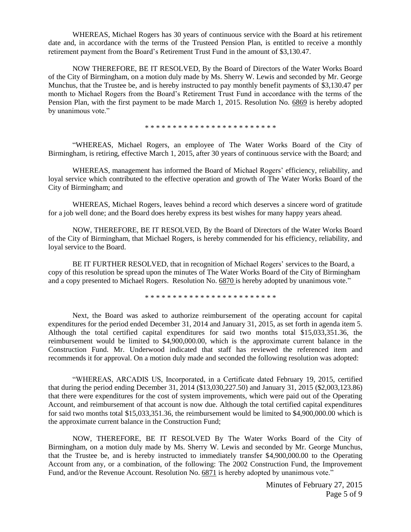WHEREAS, Michael Rogers has 30 years of continuous service with the Board at his retirement date and, in accordance with the terms of the Trusteed Pension Plan, is entitled to receive a monthly retirement payment from the Board's Retirement Trust Fund in the amount of \$3,130.47.

NOW THEREFORE, BE IT RESOLVED, By the Board of Directors of the Water Works Board of the City of Birmingham, on a motion duly made by Ms. Sherry W. Lewis and seconded by Mr. George Munchus, that the Trustee be, and is hereby instructed to pay monthly benefit payments of \$3,130.47 per month to Michael Rogers from the Board's Retirement Trust Fund in accordance with the terms of the Pension Plan, with the first payment to be made March 1, 2015. Resolution No. 6869 is hereby adopted by unanimous vote."

\* \* \* \* \* \* \* \* \* \* \* \* \* \* \* \* \* \* \* \* \* \* \* \*

"WHEREAS, Michael Rogers, an employee of The Water Works Board of the City of Birmingham, is retiring, effective March 1, 2015, after 30 years of continuous service with the Board; and

WHEREAS, management has informed the Board of Michael Rogers' efficiency, reliability, and loyal service which contributed to the effective operation and growth of The Water Works Board of the City of Birmingham; and

WHEREAS, Michael Rogers, leaves behind a record which deserves a sincere word of gratitude for a job well done; and the Board does hereby express its best wishes for many happy years ahead.

NOW, THEREFORE, BE IT RESOLVED, By the Board of Directors of the Water Works Board of the City of Birmingham, that Michael Rogers, is hereby commended for his efficiency, reliability, and loyal service to the Board.

BE IT FURTHER RESOLVED, that in recognition of Michael Rogers' services to the Board, a copy of this resolution be spread upon the minutes of The Water Works Board of the City of Birmingham and a copy presented to Michael Rogers. Resolution No. 6870 is hereby adopted by unanimous vote."

\* \* \* \* \* \* \* \* \* \* \* \* \* \* \* \* \* \* \* \* \* \* \* \*

Next, the Board was asked to authorize reimbursement of the operating account for capital expenditures for the period ended December 31, 2014 and January 31, 2015, as set forth in agenda item 5. Although the total certified capital expenditures for said two months total \$15,033,351.36, the reimbursement would be limited to \$4,900,000.00, which is the approximate current balance in the Construction Fund. Mr. Underwood indicated that staff has reviewed the referenced item and recommends it for approval. On a motion duly made and seconded the following resolution was adopted:

"WHEREAS, ARCADIS US, Incorporated, in a Certificate dated February 19, 2015, certified that during the period ending December 31, 2014 (\$13,030,227.50) and January 31, 2015 (\$2,003,123.86) that there were expenditures for the cost of system improvements, which were paid out of the Operating Account, and reimbursement of that account is now due. Although the total certified capital expenditures for said two months total \$15,033,351.36, the reimbursement would be limited to \$4,900,000.00 which is the approximate current balance in the Construction Fund;

NOW, THEREFORE, BE IT RESOLVED By The Water Works Board of the City of Birmingham, on a motion duly made by Ms. Sherry W. Lewis and seconded by Mr. George Munchus, that the Trustee be, and is hereby instructed to immediately transfer \$4,900,000.00 to the Operating Account from any, or a combination, of the following: The 2002 Construction Fund, the Improvement Fund, and/or the Revenue Account. Resolution No. 6871 is hereby adopted by unanimous vote."

> Minutes of February 27, 2015 Page 5 of 9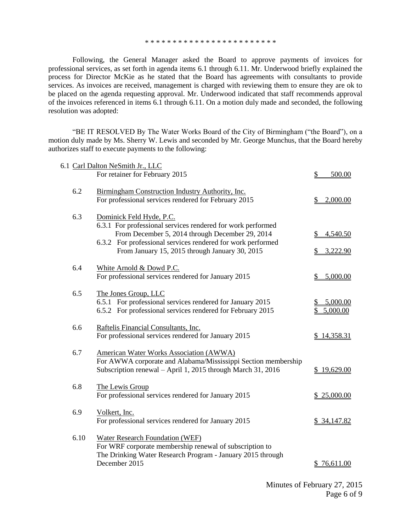\* \* \* \* \* \* \* \* \* \* \* \* \* \* \* \* \* \* \* \* \* \* \* \*

Following, the General Manager asked the Board to approve payments of invoices for professional services, as set forth in agenda items 6.1 through 6.11. Mr. Underwood briefly explained the process for Director McKie as he stated that the Board has agreements with consultants to provide services. As invoices are received, management is charged with reviewing them to ensure they are ok to be placed on the agenda requesting approval. Mr. Underwood indicated that staff recommends approval of the invoices referenced in items 6.1 through 6.11. On a motion duly made and seconded, the following resolution was adopted:

"BE IT RESOLVED By The Water Works Board of the City of Birmingham ("the Board"), on a motion duly made by Ms. Sherry W. Lewis and seconded by Mr. George Munchus, that the Board hereby authorizes staff to execute payments to the following:

|      | 6.1 Carl Dalton NeSmith Jr., LLC                                                                                                                                                                                                                            |                           |
|------|-------------------------------------------------------------------------------------------------------------------------------------------------------------------------------------------------------------------------------------------------------------|---------------------------|
|      | For retainer for February 2015                                                                                                                                                                                                                              | 500.00                    |
| 6.2  | Birmingham Construction Industry Authority, Inc.<br>For professional services rendered for February 2015                                                                                                                                                    | 2,000.00                  |
| 6.3  | Dominick Feld Hyde, P.C.<br>6.3.1 For professional services rendered for work performed<br>From December 5, 2014 through December 29, 2014<br>6.3.2 For professional services rendered for work performed<br>From January 15, 2015 through January 30, 2015 | 4,540.50<br>S<br>3,222.90 |
| 6.4  | White Arnold & Dowd P.C.<br>For professional services rendered for January 2015                                                                                                                                                                             | 5,000.00                  |
| 6.5  | The Jones Group, LLC<br>6.5.1 For professional services rendered for January 2015<br>6.5.2 For professional services rendered for February 2015                                                                                                             | 5,000.00<br>5,000.00      |
| 6.6  | Raftelis Financial Consultants, Inc.<br>For professional services rendered for January 2015                                                                                                                                                                 | 14,358.31                 |
| 6.7  | <b>American Water Works Association (AWWA)</b><br>For AWWA corporate and Alabama/Mississippi Section membership<br>Subscription renewal - April 1, 2015 through March 31, 2016                                                                              | \$19,629.00               |
| 6.8  | The Lewis Group<br>For professional services rendered for January 2015                                                                                                                                                                                      | \$25,000.00               |
| 6.9  | Volkert, Inc.<br>For professional services rendered for January 2015                                                                                                                                                                                        | \$34,147.82               |
| 6.10 | <b>Water Research Foundation (WEF)</b><br>For WRF corporate membership renewal of subscription to<br>The Drinking Water Research Program - January 2015 through<br>December 2015                                                                            | <u>76,611.00</u>          |
|      |                                                                                                                                                                                                                                                             |                           |

Minutes of February 27, 2015 Page 6 of 9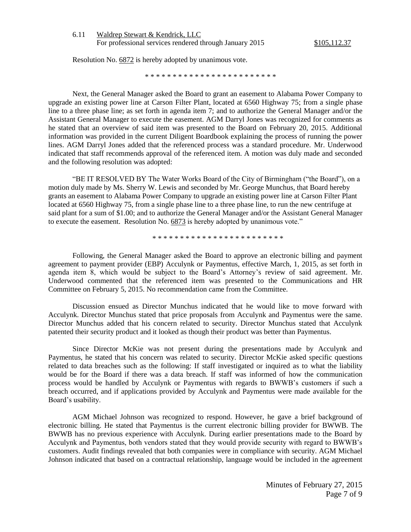| 6.11 | Waldrep Stewart & Kendrick, LLC                         |  |
|------|---------------------------------------------------------|--|
|      | For professional services rendered through January 2015 |  |

Resolution No. 6872 is hereby adopted by unanimous vote.

\* \* \* \* \* \* \* \* \* \* \* \* \* \* \* \* \* \* \* \* \* \* \* \*

Next, the General Manager asked the Board to grant an easement to Alabama Power Company to upgrade an existing power line at Carson Filter Plant, located at 6560 Highway 75; from a single phase line to a three phase line; as set forth in agenda item 7; and to authorize the General Manager and/or the Assistant General Manager to execute the easement. AGM Darryl Jones was recognized for comments as he stated that an overview of said item was presented to the Board on February 20, 2015. Additional information was provided in the current Diligent Boardbook explaining the process of running the power lines. AGM Darryl Jones added that the referenced process was a standard procedure. Mr. Underwood indicated that staff recommends approval of the referenced item. A motion was duly made and seconded and the following resolution was adopted:

"BE IT RESOLVED BY The Water Works Board of the City of Birmingham ("the Board"), on a motion duly made by Ms. Sherry W. Lewis and seconded by Mr. George Munchus, that Board hereby grants an easement to Alabama Power Company to upgrade an existing power line at Carson Filter Plant located at 6560 Highway 75, from a single phase line to a three phase line, to run the new centrifuge at said plant for a sum of \$1.00; and to authorize the General Manager and/or the Assistant General Manager to execute the easement. Resolution No. 6873 is hereby adopted by unanimous vote."

\* \* \* \* \* \* \* \* \* \* \* \* \* \* \* \* \* \* \* \* \* \* \* \*

Following, the General Manager asked the Board to approve an electronic billing and payment agreement to payment provider (EBP) Acculynk or Paymentus, effective March, 1, 2015, as set forth in agenda item 8, which would be subject to the Board's Attorney's review of said agreement. Mr. Underwood commented that the referenced item was presented to the Communications and HR Committee on February 5, 2015. No recommendation came from the Committee.

Discussion ensued as Director Munchus indicated that he would like to move forward with Acculynk. Director Munchus stated that price proposals from Acculynk and Paymentus were the same. Director Munchus added that his concern related to security. Director Munchus stated that Acculynk patented their security product and it looked as though their product was better than Paymentus.

Since Director McKie was not present during the presentations made by Acculynk and Paymentus, he stated that his concern was related to security. Director McKie asked specific questions related to data breaches such as the following: If staff investigated or inquired as to what the liability would be for the Board if there was a data breach. If staff was informed of how the communication process would be handled by Acculynk or Paymentus with regards to BWWB's customers if such a breach occurred, and if applications provided by Acculynk and Paymentus were made available for the Board's usability.

AGM Michael Johnson was recognized to respond. However, he gave a brief background of electronic billing. He stated that Paymentus is the current electronic billing provider for BWWB. The BWWB has no previous experience with Acculynk. During earlier presentations made to the Board by Acculynk and Paymentus, both vendors stated that they would provide security with regard to BWWB's customers. Audit findings revealed that both companies were in compliance with security. AGM Michael Johnson indicated that based on a contractual relationship, language would be included in the agreement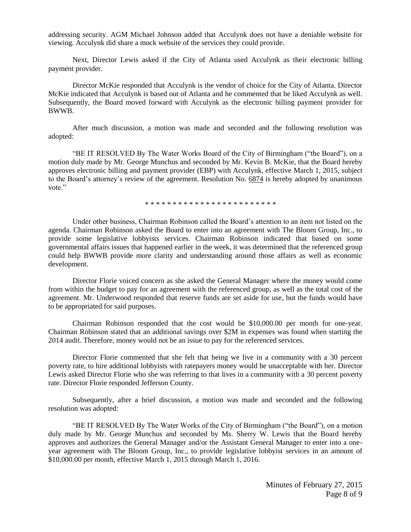addressing security. AGM Michael Johnson added that Acculynk does not have a deniable website for viewing. Acculynk did share a mock website of the services they could provide.

Next, Director Lewis asked if the City of Atlanta used Acculynk as their electronic billing payment provider.

Director McKie responded that Acculynk is the vendor of choice for the City of Atlanta. Director McKie indicated that Acculynk is based out of Atlanta and he commented that he liked Acculynk as well. Subsequently, the Board moved forward with Acculynk as the electronic billing payment provider for BWWB.

After much discussion, a motion was made and seconded and the following resolution was adopted:

"BE IT RESOLVED By The Water Works Board of the City of Birmingham ("the Board"), on a motion duly made by Mr. George Munchus and seconded by Mr. Kevin B. McKie, that the Board hereby approves electronic billing and payment provider (EBP) with Acculynk, effective March 1, 2015, subject to the Board's attorney's review of the agreement. Resolution No. 6874 is hereby adopted by unanimous vote."

\* \* \* \* \* \* \* \* \* \* \* \* \* \* \* \* \* \* \* \* \* \* \* \*

Under other business, Chairman Robinson called the Board's attention to an item not listed on the agenda. Chairman Robinson asked the Board to enter into an agreement with The Bloom Group, Inc., to provide some legislative lobbyists services. Chairman Robinson indicated that based on some governmental affairs issues that happened earlier in the week, it was determined that the referenced group could help BWWB provide more clarity and understanding around those affairs as well as economic development.

Director Florie voiced concern as she asked the General Manager where the money would come from within the budget to pay for an agreement with the referenced group, as well as the total cost of the agreement. Mr. Underwood responded that reserve funds are set aside for use, but the funds would have to be appropriated for said purposes.

Chairman Robinson responded that the cost would be \$10,000.00 per month for one-year. Chairman Robinson stated that an additional savings over \$2M in expenses was found when starting the 2014 audit. Therefore, money would not be an issue to pay for the referenced services.

Director Florie commented that she felt that being we live in a community with a 30 percent poverty rate, to hire additional lobbyists with ratepayers money would be unacceptable with her. Director Lewis asked Director Florie who she was referring to that lives in a community with a 30 percent poverty rate. Director Florie responded Jefferson County.

Subsequently, after a brief discussion, a motion was made and seconded and the following resolution was adopted:

"BE IT RESOLVED By The Water Works of the City of Birmingham ("the Board"), on a motion duly made by Mr. George Munchus and seconded by Ms. Sherry W. Lewis that the Board hereby approves and authorizes the General Manager and/or the Assistant General Manager to enter into a oneyear agreement with The Bloom Group, Inc., to provide legislative lobbyist services in an amount of \$10,000.00 per month, effective March 1, 2015 through March 1, 2016.